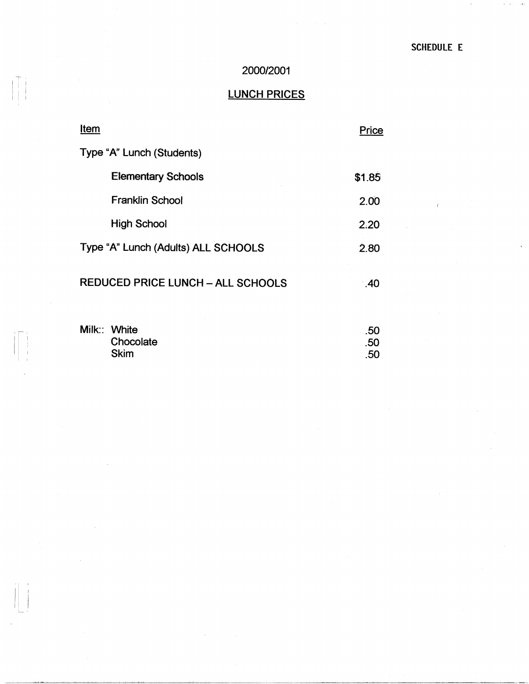i.

## 2000/2001

# LUNCH PRICES

| Item                                     | Price             |
|------------------------------------------|-------------------|
| Type "A" Lunch (Students)                |                   |
| <b>Elementary Schools</b>                | \$1.85            |
| <b>Franklin School</b>                   | 2.00              |
| <b>High School</b>                       | 2.20              |
| Type "A" Lunch (Adults) ALL SCHOOLS      | 2.80              |
| <b>REDUCED PRICE LUNCH - ALL SCHOOLS</b> | .40               |
| Milk:: White<br>Chocolate<br>Skim        | .50<br>.50<br>.50 |

I T I I i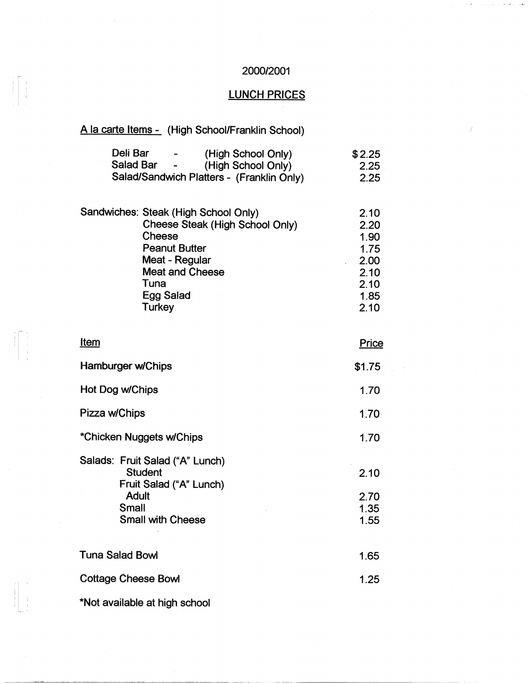#### 2000/2001

 $\mathbf{A}$  $\ell$  , and

## LUNCH PRICES

### A la carte Items - (High School/Franklin School)

| Deli Bar<br>$\blacksquare$  | (High School Only)                        | \$2.25 |
|-----------------------------|-------------------------------------------|--------|
| Salad Bar<br>$\blacksquare$ | (High School Only)                        | 2.25   |
|                             | Salad/Sandwich Platters - (Franklin Only) | 2.25   |

|  | Sandwiches: Steak (High School Only) | 2.10 |
|--|--------------------------------------|------|
|  | Cheese Steak (High School Only)      | 2.20 |
|  | Cheese                               | 1.90 |
|  | <b>Peanut Butter</b>                 | 1.75 |
|  | Meat - Regular                       | 2.00 |
|  | <b>Meat and Cheese</b>               | 2.10 |
|  | Tuna                                 | 2.10 |
|  | Egg Salad                            | 1.85 |
|  | Turkey                               | 2.10 |

| <u>Item</u>                                                                                                                | Price                        |
|----------------------------------------------------------------------------------------------------------------------------|------------------------------|
| Hamburger w/Chips                                                                                                          | \$1.75                       |
| Hot Dog w/Chips                                                                                                            | 1.70                         |
| Pizza w/Chips                                                                                                              | 1.70                         |
| *Chicken Nuggets w/Chips                                                                                                   | 1.70                         |
| Salads: Fruit Salad ("A" Lunch)<br><b>Student</b><br>Fruit Salad ("A" Lunch)<br>Adult<br>Small<br><b>Small with Cheese</b> | 2.10<br>2.70<br>1.35<br>1.55 |
| <b>Tuna Salad Bowl</b>                                                                                                     | 1.65                         |
| <b>Cottage Cheese Bowl</b>                                                                                                 | 1.25                         |
|                                                                                                                            |                              |

\*Not available at high school

' ' <sup>I</sup>

 $\begin{array}{c} \begin{array}{c} \begin{array}{c} \begin{array}{c} \begin{array}{c} \end{array} \\ \end{array} \\ \begin{array}{c} \end{array} \end{array} \end{array} \end{array}$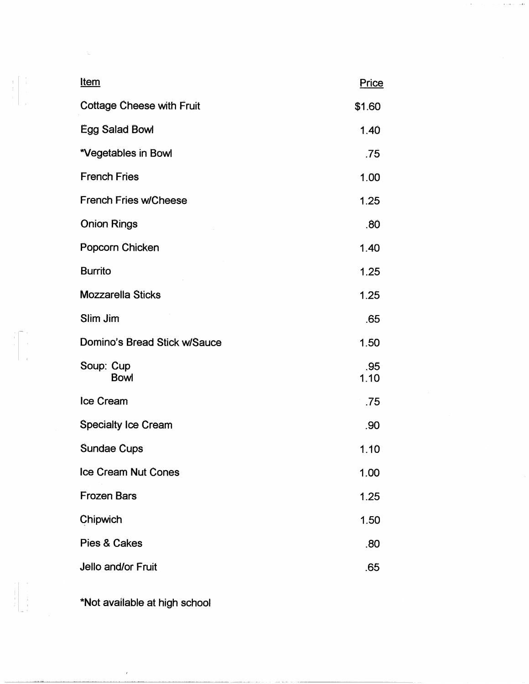| <u>Item</u>                      | Price       |
|----------------------------------|-------------|
| <b>Cottage Cheese with Fruit</b> | \$1.60      |
| Egg Salad Bowl                   | 1.40        |
| *Vegetables in Bowl              | .75         |
| <b>French Fries</b>              | 1.00        |
| <b>French Fries w/Cheese</b>     | 1.25        |
| <b>Onion Rings</b>               | .80         |
| Popcorn Chicken                  | 1.40        |
| <b>Burrito</b>                   | 1.25        |
| <b>Mozzarella Sticks</b>         | 1.25        |
| Slim Jim                         | .65         |
| Domino's Bread Stick w/Sauce     | 1.50        |
| Soup: Cup<br><b>Bowl</b>         | .95<br>1.10 |
| <b>Ice Cream</b>                 | .75         |
| <b>Specialty Ice Cream</b>       | .90         |
| Sundae Cups                      | 1.10        |
| Ice Cream Nut Cones              | 1.00        |
| <b>Frozen Bars</b>               | 1.25        |
| Chipwich                         | 1.50        |
| Pies & Cakes                     | .80         |
| Jello and/or Fruit               | .65         |

 $\epsilon$ 

 $\epsilon$  ) and  $\epsilon$  $\ddot{\phantom{a}}$ 

\*Not available at high school

 $\bar{\epsilon}$ 

 $\begin{array}{c} \begin{array}{c} 1 \\ 1 \\ 2 \\ 3 \\ 4 \\ 5 \\ \end{array} \end{array}$ 

 $\begin{array}{c} \begin{array}{c} \begin{array}{c} \begin{array}{c} \end{array} \\ \begin{array}{c} \end{array} \\ \begin{array}{c} \end{array} \\ \begin{array}{c} \end{array} \\ \begin{array}{c} \end{array} \end{array} \end{array} \end{array}$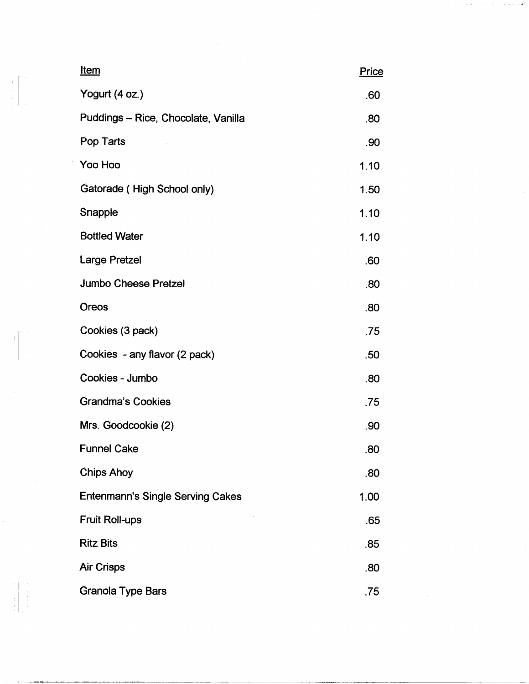| <u>Item</u>                         | Price |
|-------------------------------------|-------|
| Yogurt (4 oz.)                      | .60   |
| Puddings - Rice, Chocolate, Vanilla | .80   |
| Pop Tarts                           | .90   |
| Yoo Hoo                             | 1.10  |
| Gatorade (High School only)         | 1.50  |
| Snapple                             | 1.10  |
| <b>Bottled Water</b>                | 1.10  |
| <b>Large Pretzel</b>                | .60   |
| <b>Jumbo Cheese Pretzel</b>         | .80   |
| Oreos                               | .80   |
| Cookies (3 pack)                    | .75   |
| Cookies - any flavor (2 pack)       | .50   |
| Cookies - Jumbo                     | .80   |
| <b>Grandma's Cookies</b>            | .75   |
| Mrs. Goodcookie (2)                 | .90   |
| <b>Funnel Cake</b>                  | .80   |
| Chips Ahoy                          | .80   |
| Entenmann's Single Serving Cakes    | 1.00  |
| Fruit Roll-ups                      | .65   |
| <b>Ritz Bits</b>                    | .85   |
| <b>Air Crisps</b>                   | .80   |
| <b>Granola Type Bars</b>            | .75   |

 $\mathcal{L}(\mathcal{L}^{\mathcal{L}}(\mathcal{L}^{\mathcal{L}}(\mathcal{L}^{\mathcal{L}}(\mathcal{L}^{\mathcal{L}}(\mathcal{L}^{\mathcal{L}}(\mathcal{L}^{\mathcal{L}}(\mathcal{L}^{\mathcal{L}}(\mathcal{L}^{\mathcal{L}}(\mathcal{L}^{\mathcal{L}}(\mathcal{L}^{\mathcal{L}}(\mathcal{L}^{\mathcal{L}}(\mathcal{L}^{\mathcal{L}}(\mathcal{L}^{\mathcal{L}}(\mathcal{L}^{\mathcal{L}}(\mathcal{L}^{\mathcal{L}}(\mathcal{L}^{\mathcal{L}}(\mathcal{L}$ 

 $\begin{array}{c} \mathbf{1} \\ \mathbf{1} \\ \mathbf{2} \\ \mathbf{3} \\ \mathbf{4} \\ \mathbf{5} \\ \mathbf{6} \\ \mathbf{7} \\ \mathbf{8} \\ \mathbf{9} \\ \mathbf{1} \\ \mathbf{1} \\ \mathbf{1} \\ \mathbf{1} \\ \mathbf{1} \\ \mathbf{1} \\ \mathbf{1} \\ \mathbf{1} \\ \mathbf{1} \\ \mathbf{1} \\ \mathbf{1} \\ \mathbf{1} \\ \mathbf{1} \\ \mathbf{1} \\ \mathbf{1} \\ \mathbf{1} \\ \mathbf{1} \\ \mathbf{1} \\ \mathbf{1} \\ \mathbf{1} \\ \mathbf$ 

 $\begin{aligned} \frac{1}{\sqrt{2}}\left(\frac{1}{\sqrt{2}}\right) & = \frac{1}{2}\left(\frac{1}{2}\right) \\ & = \frac{1}{2}\left(\frac{1}{2}\right) \\ & = \frac{1}{2}\left(\frac{1}{2}\right) \\ & = \frac{1}{2}\left(\frac{1}{2}\right) \\ & = \frac{1}{2}\left(\frac{1}{2}\right) \\ & = \frac{1}{2}\left(\frac{1}{2}\right) \\ & = \frac{1}{2}\left(\frac{1}{2}\right) \\ & = \frac{1}{2}\left(\frac{1}{2}\right) \\ & = \frac{1}{2}\left(\frac{1}{2}\right) \\ & = \frac{1}{2}\left$ 

 $\frac{1}{2}$ 

 $\mathbf{a}$  .

 $\ell(\ell) = \ell(\ell(\ell))$  ) as a sum of  $\ell$  and  $\ell$ 

 $\frac{1}{2}$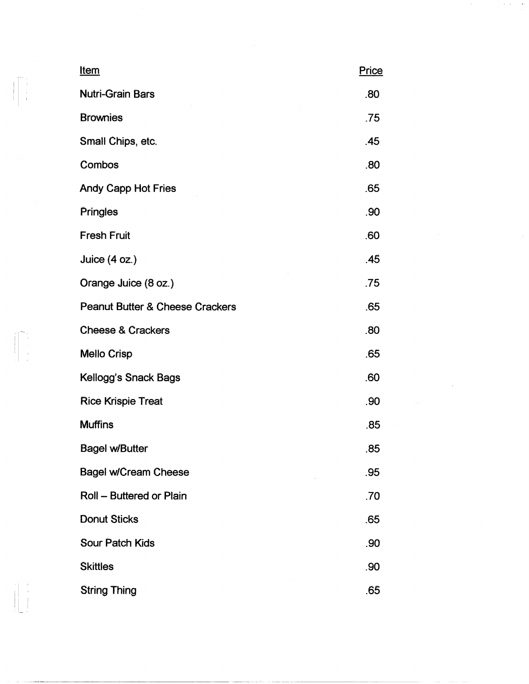|  | <u>Item</u>                                | Price |
|--|--------------------------------------------|-------|
|  | <b>Nutri-Grain Bars</b>                    | .80   |
|  | <b>Brownies</b>                            | .75   |
|  | Small Chips, etc.                          | .45   |
|  | Combos                                     | .80   |
|  | Andy Capp Hot Fries                        | .65   |
|  | Pringles                                   | .90   |
|  | <b>Fresh Fruit</b>                         | .60   |
|  | Juice $(4 oz.)$                            | .45   |
|  | Orange Juice (8 oz.)                       | .75   |
|  | <b>Peanut Butter &amp; Cheese Crackers</b> | .65   |
|  | <b>Cheese &amp; Crackers</b>               | .80   |
|  | <b>Mello Crisp</b>                         | .65   |
|  | Kellogg's Snack Bags                       | .60   |
|  | <b>Rice Krispie Treat</b>                  | .90   |
|  | <b>Muffins</b>                             | .85   |
|  | <b>Bagel w/Butter</b>                      | .85   |
|  | <b>Bagel w/Cream Cheese</b>                | .95   |
|  | Roll - Buttered or Plain                   | .70   |
|  | <b>Donut Sticks</b>                        | .65   |
|  | Sour Patch Kids                            | .90   |
|  | <b>Skittles</b>                            | .90   |
|  | <b>String Thing</b>                        | .65   |

 $\label{eq:2.1} \left\langle \mathbf{w}_{i} \right\rangle_{\mathcal{M}} = \left\langle \mathbf{w}_{i} \right\rangle_{\mathcal{M}} = \left\langle \mathbf{w}_{i} \right\rangle_{\mathcal{M}} = \left\langle \mathbf{w}_{i} \right\rangle_{\mathcal{M}} = \left\langle \mathbf{w}_{i} \right\rangle_{\mathcal{M}}$ 

 $\begin{bmatrix} 1 \\ 1 \\ 1 \\ 1 \end{bmatrix}$ 

 $\begin{picture}(20,5) \put(0,0){\vector(0,1){100}} \put(15,0){\vector(0,1){100}} \put(15,0){\vector(0,1){100}} \put(15,0){\vector(0,1){100}} \put(15,0){\vector(0,1){100}} \put(15,0){\vector(0,1){100}} \put(15,0){\vector(0,1){100}} \put(15,0){\vector(0,1){100}} \put(15,0){\vector(0,1){100}} \put(15,0){\vector(0,1){100}} \put(15,0){\vector(0,1){100}} \put$